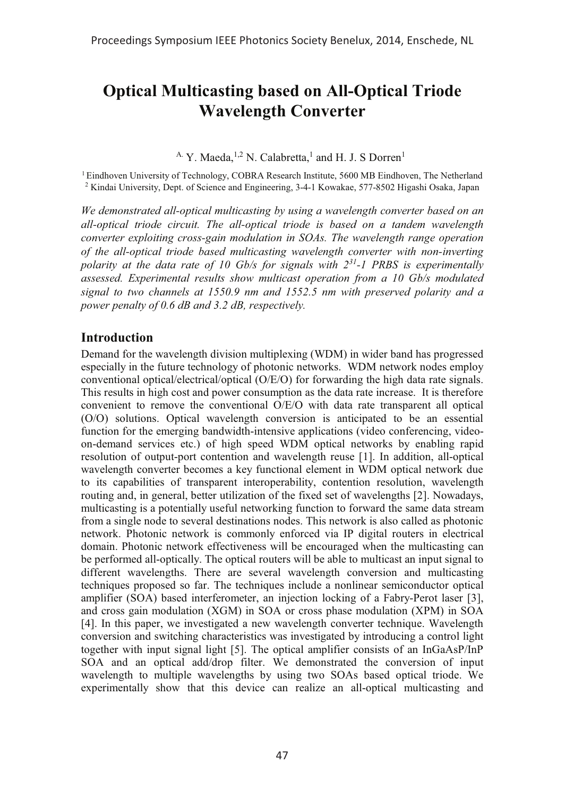# **Optical Multicasting based on All-Optical Triode Wavelength Converter**

<sup>A.</sup> Y. Maeda,<sup>1,2</sup> N. Calabretta,<sup>1</sup> and H. J. S Dorren<sup>1</sup>

 $1$  Eindhoven University of Technology, COBRA Research Institute, 5600 MB Eindhoven, The Netherland <sup>2</sup> Kindai University, Dept. of Science and Engineering, 3-4-1 Kowakae, 577-8502 Higashi Osaka, Japan

*We demonstrated all-optical multicasting by using a wavelength converter based on an all-optical triode circuit. The all-optical triode is based on a tandem wavelength converter exploiting cross-gain modulation in SOAs. The wavelength range operation of the all-optical triode based multicasting wavelength converter with non-inverting polarity at the data rate of 10 Gb/s for signals with 231-1 PRBS is experimentally assessed. Experimental results show multicast operation from a 10 Gb/s modulated signal to two channels at 1550.9 nm and 1552.5 nm with preserved polarity and a power penalty of 0.6 dB and 3.2 dB, respectively.*

# **Introduction**

Demand for the wavelength division multiplexing (WDM) in wider band has progressed especially in the future technology of photonic networks. WDM network nodes employ conventional optical/electrical/optical (O/E/O) for forwarding the high data rate signals. This results in high cost and power consumption as the data rate increase. It is therefore convenient to remove the conventional O/E/O with data rate transparent all optical (O/O) solutions. Optical wavelength conversion is anticipated to be an essential function for the emerging bandwidth-intensive applications (video conferencing, videoon-demand services etc.) of high speed WDM optical networks by enabling rapid resolution of output-port contention and wavelength reuse [1]. In addition, all-optical wavelength converter becomes a key functional element in WDM optical network due to its capabilities of transparent interoperability, contention resolution, wavelength routing and, in general, better utilization of the fixed set of wavelengths [2]. Nowadays, multicasting is a potentially useful networking function to forward the same data stream from a single node to several destinations nodes. This network is also called as photonic network. Photonic network is commonly enforced via IP digital routers in electrical domain. Photonic network effectiveness will be encouraged when the multicasting can be performed all-optically. The optical routers will be able to multicast an input signal to different wavelengths. There are several wavelength conversion and multicasting techniques proposed so far. The techniques include a nonlinear semiconductor optical amplifier (SOA) based interferometer, an injection locking of a Fabry-Perot laser [3], and cross gain modulation (XGM) in SOA or cross phase modulation (XPM) in SOA [4]. In this paper, we investigated a new wavelength converter technique. Wavelength conversion and switching characteristics was investigated by introducing a control light together with input signal light [5]. The optical amplifier consists of an InGaAsP/InP SOA and an optical add/drop filter. We demonstrated the conversion of input wavelength to multiple wavelengths by using two SOAs based optical triode. We experimentally show that this device can realize an all-optical multicasting and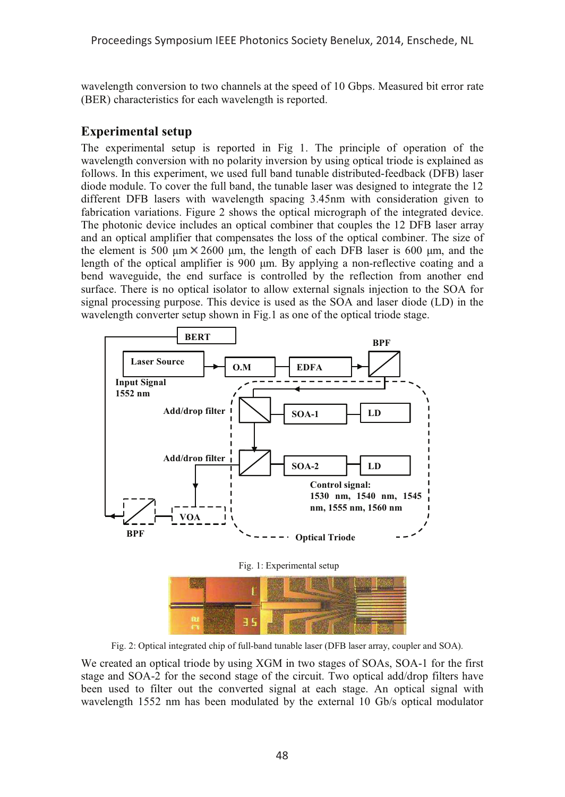wavelength conversion to two channels at the speed of 10 Gbps. Measured bit error rate (BER) characteristics for each wavelength is reported.

# **Experimental setup**

The experimental setup is reported in Fig 1. The principle of operation of the wavelength conversion with no polarity inversion by using optical triode is explained as follows. In this experiment, we used full band tunable distributed-feedback (DFB) laser diode module. To cover the full band, the tunable laser was designed to integrate the 12 different DFB lasers with wavelength spacing 3.45nm with consideration given to fabrication variations. Figure 2 shows the optical micrograph of the integrated device. The photonic device includes an optical combiner that couples the 12 DFB laser array and an optical amplifier that compensates the loss of the optical combiner. The size of the element is 500  $\mu$ m  $\times$  2600  $\mu$ m, the length of each DFB laser is 600  $\mu$ m, and the length of the optical amplifier is 900  $\mu$ m. By applying a non-reflective coating and a bend waveguide, the end surface is controlled by the reflection from another end surface. There is no optical isolator to allow external signals injection to the SOA for signal processing purpose. This device is used as the SOA and laser diode (LD) in the wavelength converter setup shown in Fig.1 as one of the optical triode stage.





Fig. 2: Optical integrated chip of full-band tunable laser (DFB laser array, coupler and SOA).

We created an optical triode by using XGM in two stages of SOAs, SOA-1 for the first stage and SOA-2 for the second stage of the circuit. Two optical add/drop filters have been used to filter out the converted signal at each stage. An optical signal with wavelength 1552 nm has been modulated by the external 10 Gb/s optical modulator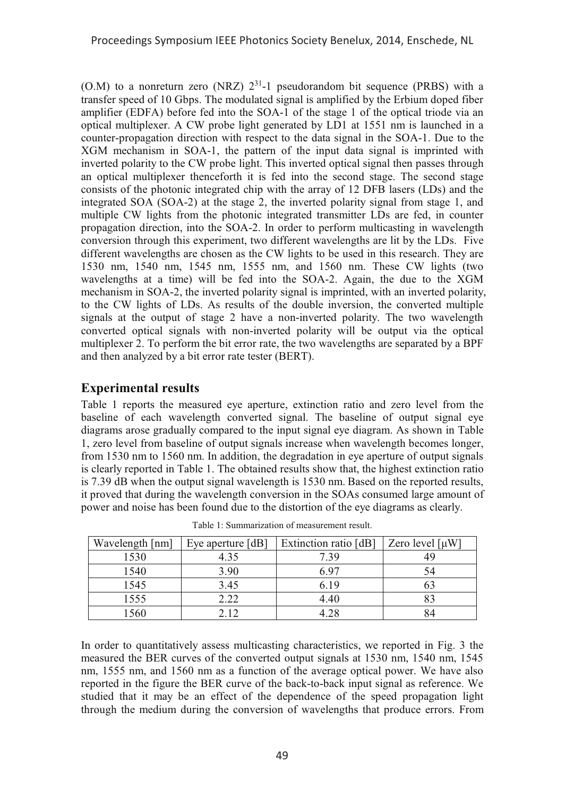$(0.M)$  to a nonreturn zero (NRZ)  $2^{31}$ -1 pseudorandom bit sequence (PRBS) with a transfer speed of 10 Gbps. The modulated signal is amplified by the Erbium doped fiber amplifier (EDFA) before fed into the SOA-1 of the stage 1 of the optical triode via an optical multiplexer. A CW probe light generated by LD1 at 1551 nm is launched in a counter-propagation direction with respect to the data signal in the SOA-1. Due to the XGM mechanism in SOA-1, the pattern of the input data signal is imprinted with inverted polarity to the CW probe light. This inverted optical signal then passes through an optical multiplexer thenceforth it is fed into the second stage. The second stage consists of the photonic integrated chip with the array of 12 DFB lasers (LDs) and the integrated SOA (SOA-2) at the stage 2, the inverted polarity signal from stage 1, and multiple CW lights from the photonic integrated transmitter LDs are fed, in counter propagation direction, into the SOA-2. In order to perform multicasting in wavelength conversion through this experiment, two different wavelengths are lit by the LDs. Five different wavelengths are chosen as the CW lights to be used in this research. They are 1530 nm, 1540 nm, 1545 nm, 1555 nm, and 1560 nm. These CW lights (two wavelengths at a time) will be fed into the SOA-2. Again, the due to the XGM mechanism in SOA-2, the inverted polarity signal is imprinted, with an inverted polarity, to the CW lights of LDs. As results of the double inversion, the converted multiple signals at the output of stage 2 have a non-inverted polarity. The two wavelength converted optical signals with non-inverted polarity will be output via the optical multiplexer 2. To perform the bit error rate, the two wavelengths are separated by a BPF and then analyzed by a bit error rate tester (BERT).

# **Experimental results**

Table 1 reports the measured eye aperture, extinction ratio and zero level from the baseline of each wavelength converted signal. The baseline of output signal eye diagrams arose gradually compared to the input signal eye diagram. As shown in Table 1, zero level from baseline of output signals increase when wavelength becomes longer, from 1530 nm to 1560 nm. In addition, the degradation in eye aperture of output signals is clearly reported in Table 1. The obtained results show that, the highest extinction ratio is 7.39 dB when the output signal wavelength is 1530 nm. Based on the reported results, it proved that during the wavelength conversion in the SOAs consumed large amount of power and noise has been found due to the distortion of the eye diagrams as clearly.

| Wavelength [nm] | Eye aperture [dB] | Extinction ratio [dB] | Zero level $\lceil \mu W \rceil$ |
|-----------------|-------------------|-----------------------|----------------------------------|
| 1530            | 4.35              | 7.39                  |                                  |
| 1540            | 3.90              | 6.97                  |                                  |
| 1545            | 3.45              | 6.19                  |                                  |
| 1555            | 2.22              | 4.40                  |                                  |
| 1560            | 212               | 1.28                  |                                  |

Table 1: Summarization of measurement result.

In order to quantitatively assess multicasting characteristics, we reported in Fig. 3 the measured the BER curves of the converted output signals at 1530 nm, 1540 nm, 1545 nm, 1555 nm, and 1560 nm as a function of the average optical power. We have also reported in the figure the BER curve of the back-to-back input signal as reference. We studied that it may be an effect of the dependence of the speed propagation light through the medium during the conversion of wavelengths that produce errors. From